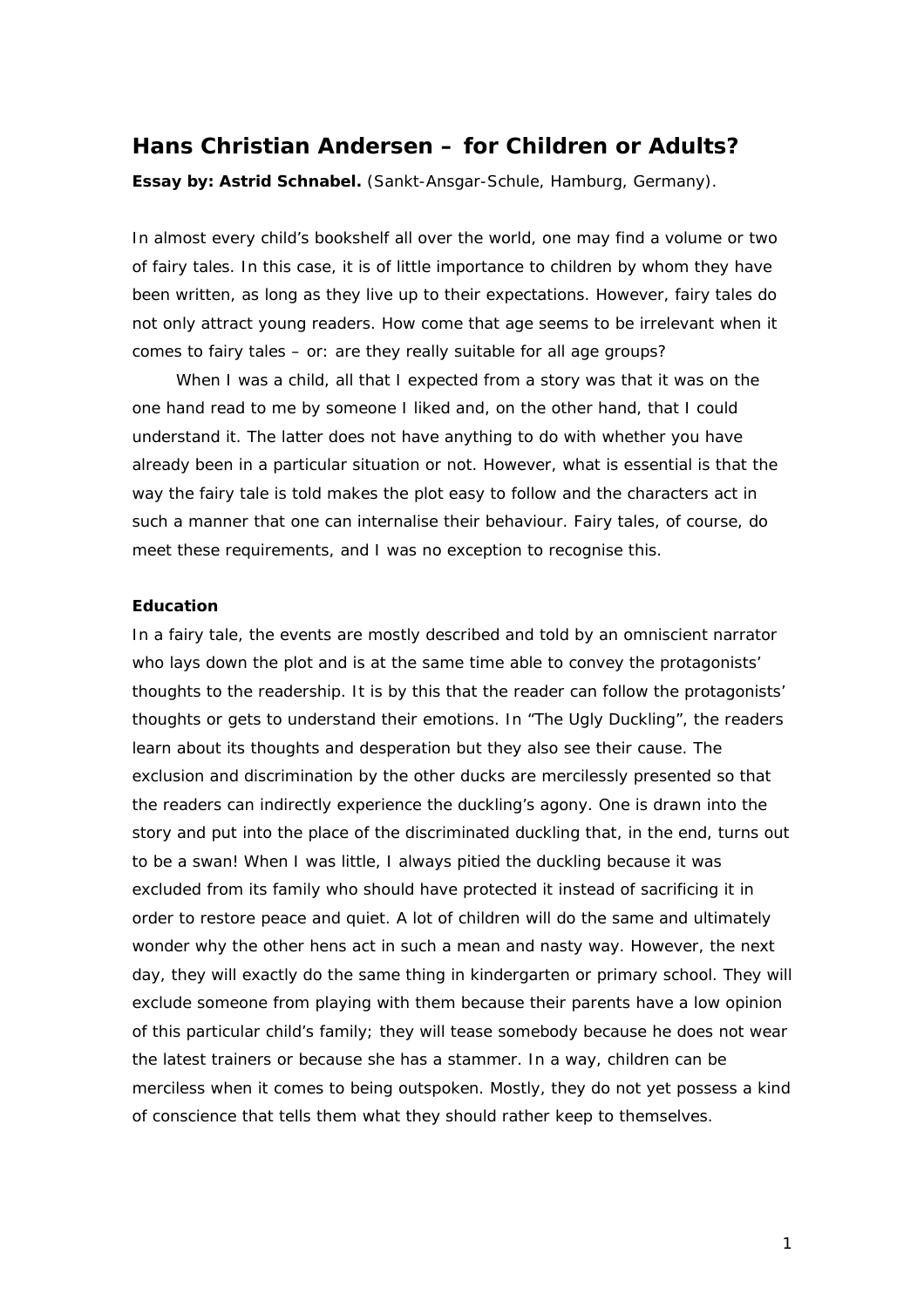# **Hans Christian Andersen – for Children or Adults?**

*Essay by: Astrid Schnabel. (Sankt-Ansgar-Schule, Hamburg, Germany).*

In almost every child's bookshelf all over the world, one may find a volume or two of fairy tales. In this case, it is of little importance to children by whom they have been written, as long as they live up to their expectations. However, fairy tales do not only attract young readers. How come that age seems to be irrelevant when it comes to fairy tales – or: are they really suitable for all age groups?

When I was a child, all that I expected from a story was that it was on the one hand read to me by someone I liked and, on the other hand, that I could understand it. The latter does not have anything to do with whether you have already been in a particular situation or not. However, what is essential is that the way the fairy tale is told makes the plot easy to follow and the characters act in such a manner that one can internalise their behaviour. Fairy tales, of course, do meet these requirements, and I was no exception to recognise this.

## **Education**

In a fairy tale, the events are mostly described and told by an omniscient narrator who lays down the plot and is at the same time able to convey the protagonists' thoughts to the readership. It is by this that the reader can follow the protagonists' thoughts or gets to understand their emotions. In "The Ugly Duckling", the readers learn about its thoughts and desperation but they also see their cause. The exclusion and discrimination by the other ducks are mercilessly presented so that the readers can indirectly experience the duckling's agony. One is drawn into the story and put into the place of the discriminated duckling that, in the end, turns out to be a swan! When I was little, I always pitied the duckling because it was excluded from its family who should have protected it instead of sacrificing it in order to restore peace and quiet. A lot of children will do the same and ultimately wonder why the other hens act in such a mean and nasty way. However, the next day, they will exactly do the same thing in kindergarten or primary school. They will exclude someone from playing with them because their parents have a low opinion of this particular child's family; they will tease somebody because he does not wear the latest trainers or because she has a stammer. In a way, children can be merciless when it comes to being outspoken. Mostly, they do not yet possess a kind of conscience that tells them what they should rather keep to themselves.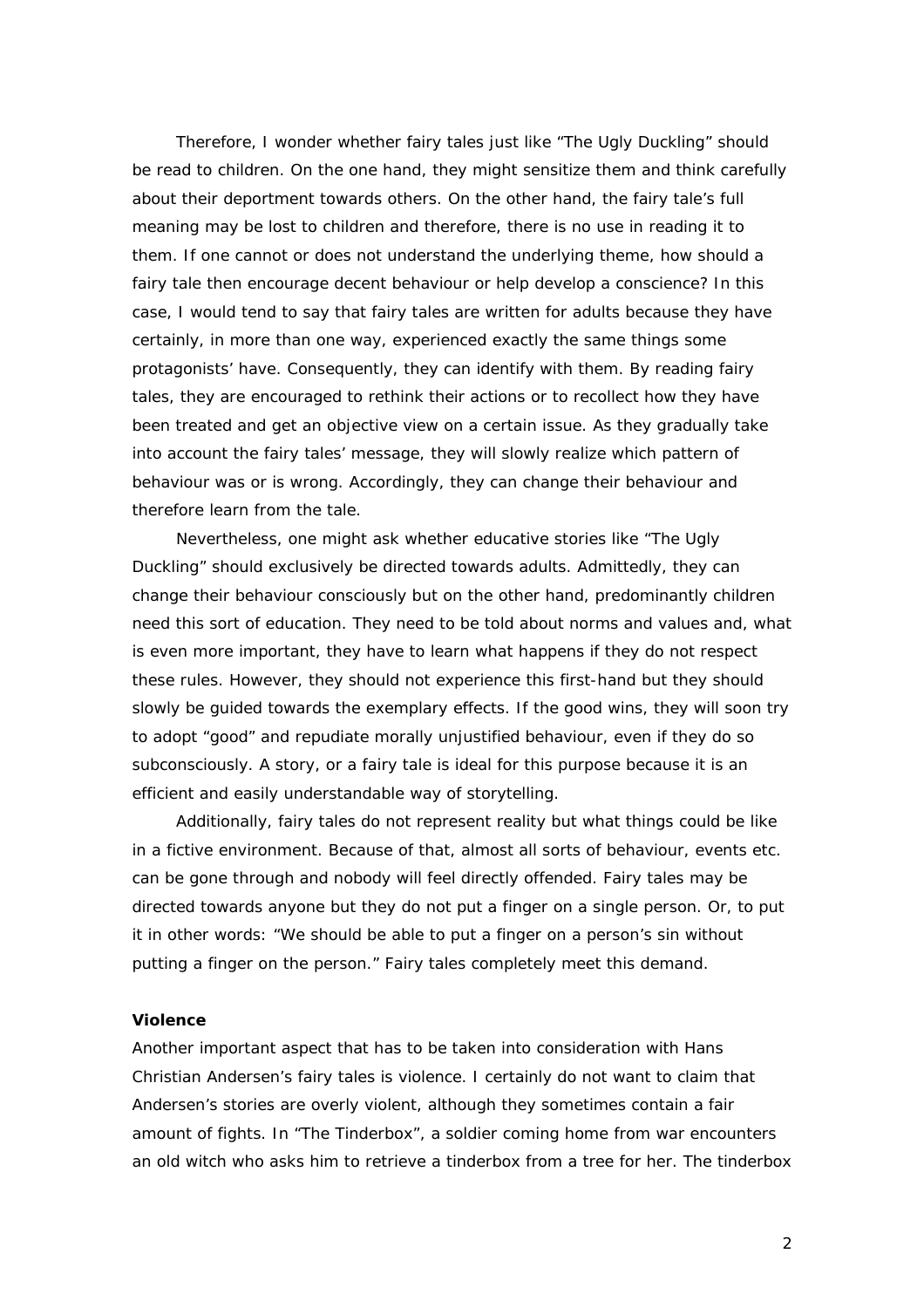Therefore, I wonder whether fairy tales just like "The Ugly Duckling" should be read to children. On the one hand, they might sensitize them and think carefully about their deportment towards others. On the other hand, the fairy tale's full meaning may be lost to children and therefore, there is no use in reading it to them. If one cannot or does not understand the underlying theme, how should a fairy tale then encourage decent behaviour or help develop a conscience? In this case, I would tend to say that fairy tales are written for adults because they have certainly, in more than one way, experienced exactly the same things some protagonists' have. Consequently, they can identify with them. By reading fairy tales, they are encouraged to rethink their actions or to recollect how they have been treated and get an objective view on a certain issue. As they gradually take into account the fairy tales' message, they will slowly realize which pattern of behaviour was or is wrong. Accordingly, they can change their behaviour and therefore learn from the tale.

Nevertheless, one might ask whether educative stories like "The Ugly Duckling" should exclusively be directed towards adults. Admittedly, they can change their behaviour consciously but on the other hand, predominantly children need this sort of education. They need to be told about norms and values and, what is even more important, they have to learn what happens if they do not respect these rules. However, they should not experience this first-hand but they should slowly be guided towards the exemplary effects. If the good wins, they will soon try to adopt "good" and repudiate morally unjustified behaviour, even if they do so subconsciously. A story, or a fairy tale is ideal for this purpose because it is an efficient and easily understandable way of storytelling.

Additionally, fairy tales do not represent reality but what things could be like in a fictive environment. Because of that, almost all sorts of behaviour, events etc. can be gone through and nobody will feel directly offended. Fairy tales may be directed towards anyone but they do not put a finger on a single person. Or, to put it in other words: "We should be able to put a finger on a person's sin without putting a finger on the person." Fairy tales completely meet this demand.

#### **Violence**

Another important aspect that has to be taken into consideration with Hans Christian Andersen's fairy tales is violence. I certainly do not want to claim that Andersen's stories are overly violent, although they sometimes contain a fair amount of fights. In "The Tinderbox", a soldier coming home from war encounters an old witch who asks him to retrieve a tinderbox from a tree for her. The tinderbox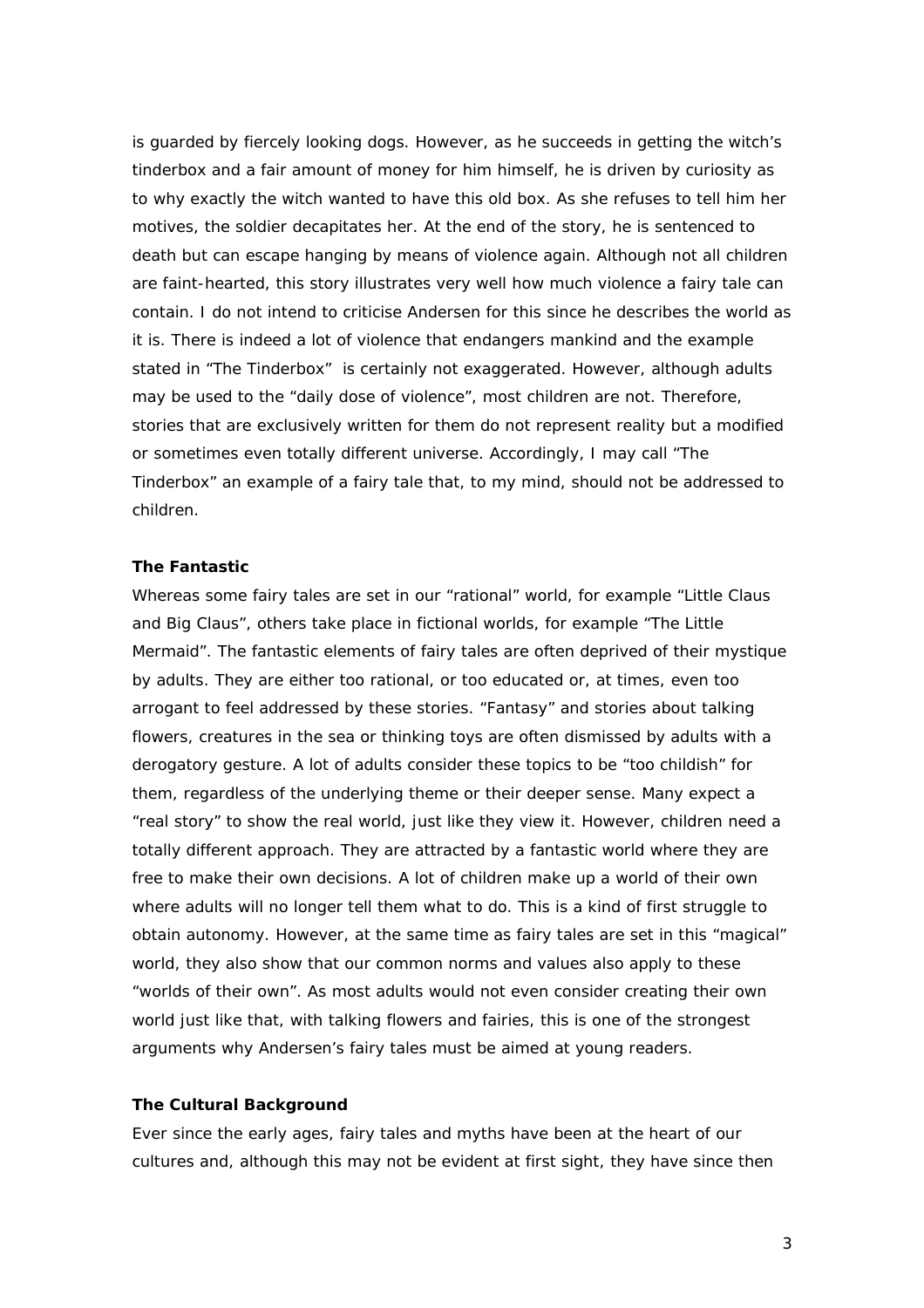is guarded by fiercely looking dogs. However, as he succeeds in getting the witch's tinderbox and a fair amount of money for him himself, he is driven by curiosity as to why exactly the witch wanted to have this old box. As she refuses to tell him her motives, the soldier decapitates her. At the end of the story, he is sentenced to death but can escape hanging by means of violence again. Although not all children are faint-hearted, this story illustrates very well how much violence a fairy tale can contain. I do not intend to criticise Andersen for this since he describes the world as it is. There is indeed a lot of violence that endangers mankind and the example stated in "The Tinderbox" is certainly not exaggerated. However, although adults may be used to the "daily dose of violence", most children are not. Therefore, stories that are exclusively written for them do not represent reality but a modified or sometimes even totally different universe. Accordingly, I may call "The Tinderbox" an example of a fairy tale that, to my mind, should not be addressed to children.

## **The Fantastic**

Whereas some fairy tales are set in our "rational" world, for example "Little Claus and Big Claus", others take place in fictional worlds, for example "The Little Mermaid". The fantastic elements of fairy tales are often deprived of their mystique by adults. They are either too rational, or too educated or, at times, even too arrogant to feel addressed by these stories. "Fantasy" and stories about talking flowers, creatures in the sea or thinking toys are often dismissed by adults with a derogatory gesture. A lot of adults consider these topics to be "too childish" for them, regardless of the underlying theme or their deeper sense. Many expect a "real story" to show the real world, just like they view it. However, children need a totally different approach. They are attracted by a fantastic world where they are free to make their own decisions. A lot of children make up a world of their own where adults will no longer tell them what to do. This is a kind of first struggle to obtain autonomy. However, at the same time as fairy tales are set in this "magical" world, they also show that our common norms and values also apply to these "worlds of their own". As most adults would not even consider creating their own world just like that, with talking flowers and fairies, this is one of the strongest arguments why Andersen's fairy tales must be aimed at young readers.

#### **The Cultural Background**

Ever since the early ages, fairy tales and myths have been at the heart of our cultures and, although this may not be evident at first sight, they have since then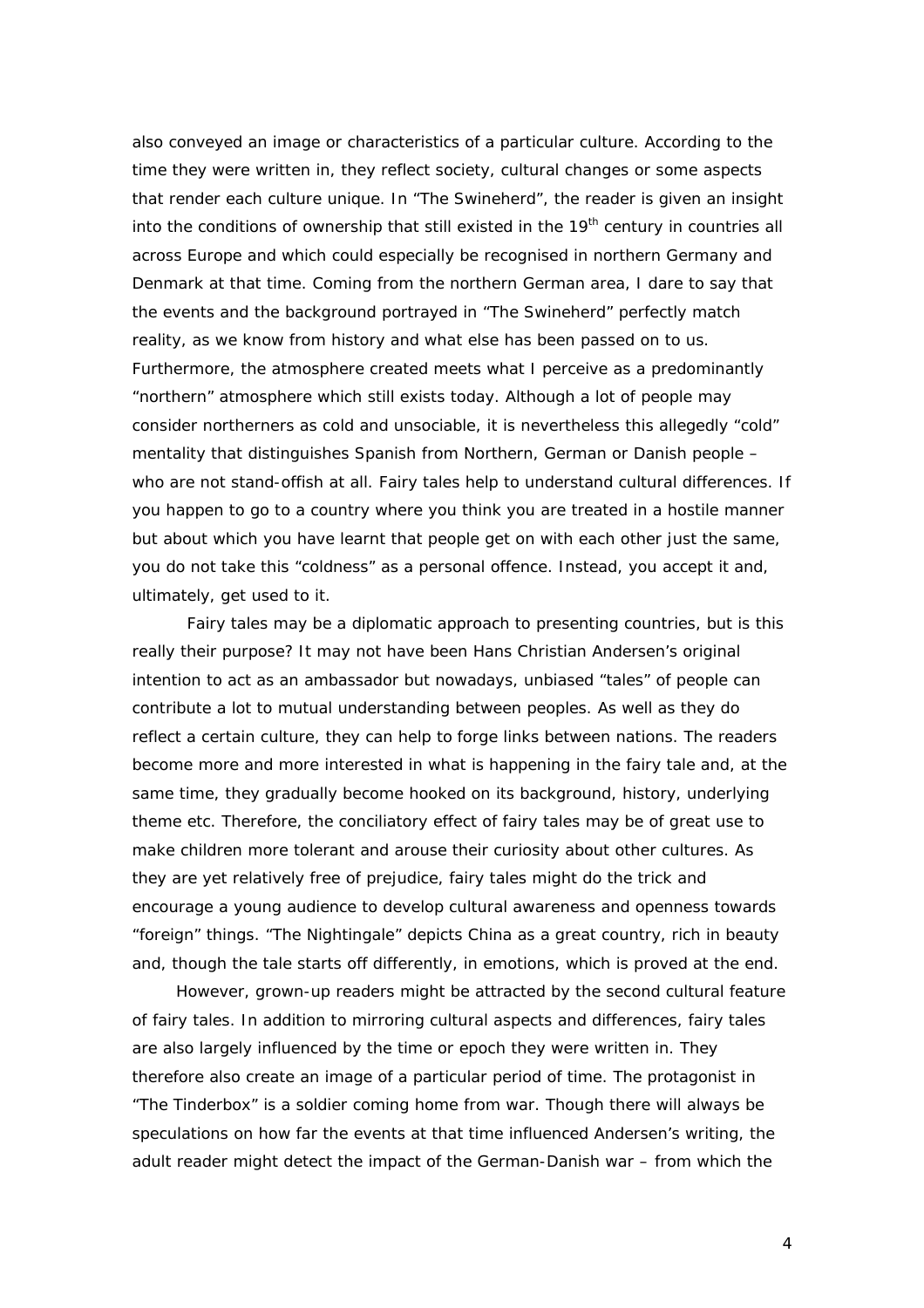also conveyed an image or characteristics of a particular culture. According to the time they were written in, they reflect society, cultural changes or some aspects that render each culture unique. In "The Swineherd", the reader is given an insight into the conditions of ownership that still existed in the  $19<sup>th</sup>$  century in countries all across Europe and which could especially be recognised in northern Germany and Denmark at that time. Coming from the northern German area, I dare to say that the events and the background portrayed in "The Swineherd" perfectly match reality, as we know from history and what else has been passed on to us. Furthermore, the atmosphere created meets what I perceive as a predominantly "northern" atmosphere which still exists today. Although a lot of people may consider northerners as cold and unsociable, it is nevertheless this allegedly "cold" mentality that distinguishes Spanish from Northern, German or Danish people – who are not stand-offish at all. Fairy tales help to understand cultural differences. If you happen to go to a country where you think you are treated in a hostile manner but about which you have learnt that people get on with each other just the same, you do not take this "coldness" as a personal offence. Instead, you accept it and, ultimately, get used to it.

Fairy tales may be a diplomatic approach to presenting countries, but is this really their purpose? It may not have been Hans Christian Andersen's original intention to act as an ambassador but nowadays, unbiased "tales" of people can contribute a lot to mutual understanding between peoples. As well as they do reflect a certain culture, they can help to forge links between nations. The readers become more and more interested in what is happening in the fairy tale and, at the same time, they gradually become hooked on its background, history, underlying theme etc. Therefore, the conciliatory effect of fairy tales may be of great use to make children more tolerant and arouse their curiosity about other cultures. As they are yet relatively free of prejudice, fairy tales might do the trick and encourage a young audience to develop cultural awareness and openness towards "foreign" things. "The Nightingale" depicts China as a great country, rich in beauty and, though the tale starts off differently, in emotions, which is proved at the end.

However, grown-up readers might be attracted by the second cultural feature of fairy tales. In addition to mirroring cultural aspects and differences, fairy tales are also largely influenced by the time or epoch they were written in. They therefore also create an image of a particular period of time. The protagonist in "The Tinderbox" is a soldier coming home from war. Though there will always be speculations on how far the events at that time influenced Andersen's writing, the adult reader might detect the impact of the German-Danish war – from which the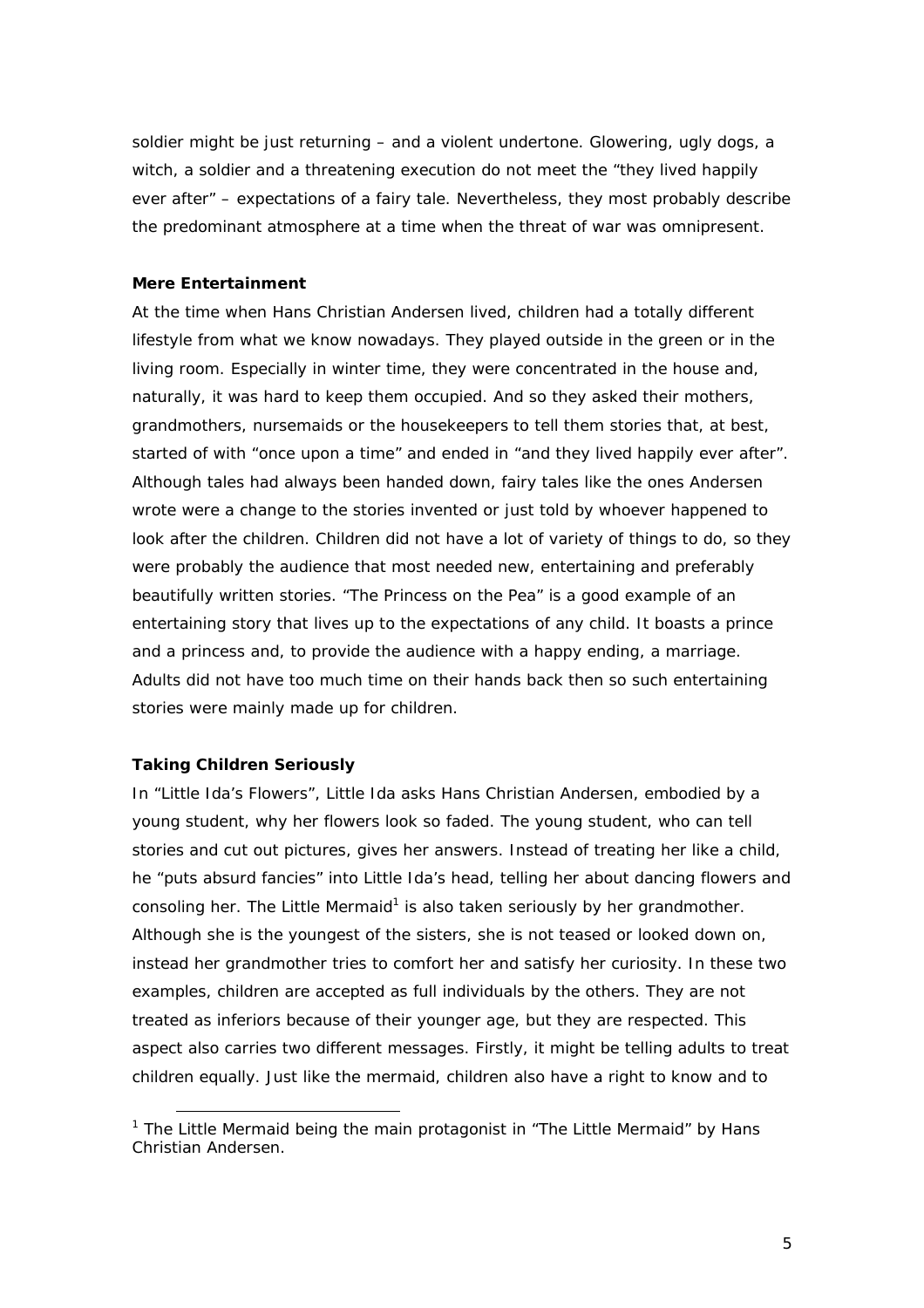soldier might be just returning – and a violent undertone. Glowering, ugly dogs, a witch, a soldier and a threatening execution do not meet the "they lived happily ever after" – expectations of a fairy tale. Nevertheless, they most probably describe the predominant atmosphere at a time when the threat of war was omnipresent.

## **Mere Entertainment**

At the time when Hans Christian Andersen lived, children had a totally different lifestyle from what we know nowadays. They played outside in the green or in the living room. Especially in winter time, they were concentrated in the house and, naturally, it was hard to keep them occupied. And so they asked their mothers, grandmothers, nursemaids or the housekeepers to tell them stories that, at best, started of with "once upon a time" and ended in "and they lived happily ever after". Although tales had always been handed down, fairy tales like the ones Andersen wrote were a change to the stories invented or just told by whoever happened to look after the children. Children did not have a lot of variety of things to do, so they were probably the audience that most needed new, entertaining and preferably beautifully written stories. "The Princess on the Pea" is a good example of an entertaining story that lives up to the expectations of any child. It boasts a prince and a princess and, to provide the audience with a happy ending, a marriage. Adults did not have too much time on their hands back then so such entertaining stories were mainly made up for children.

## **Taking Children Seriously**

In "Little Ida's Flowers", Little Ida asks Hans Christian Andersen, embodied by a young student, why her flowers look so faded. The young student, who can tell stories and cut out pictures, gives her answers. Instead of treating her like a child, he "puts absurd fancies" into Little Ida's head, telling her about dancing flowers and consoling her. The Little Mermaid<sup>1</sup> is also taken seriously by her grandmother. Although she is the youngest of the sisters, she is not teased or looked down on, instead her grandmother tries to comfort her and satisfy her curiosity. In these two examples, children are accepted as full individuals by the others. They are not treated as inferiors because of their younger age, but they are respected. This aspect also carries two different messages. Firstly, it might be telling adults to treat children equally. Just like the mermaid, children also have a right to know and to

**EVALUTE:**<br><sup>1</sup> The Little Mermaid being the main protagonist in "The Little Mermaid" by Hans Christian Andersen.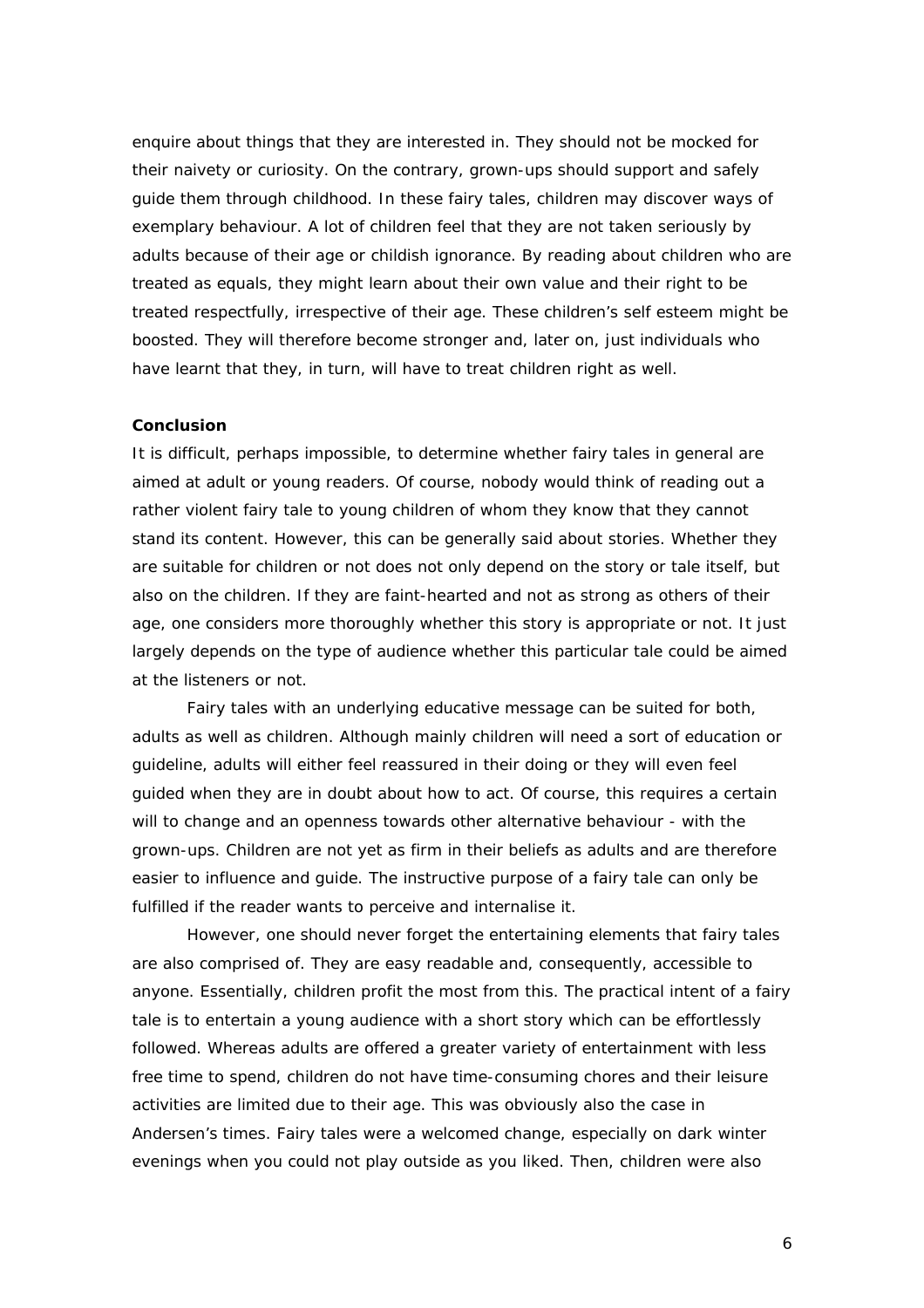enquire about things that they are interested in. They should not be mocked for their naivety or curiosity. On the contrary, grown-ups should support and safely guide them through childhood. In these fairy tales, children may discover ways of exemplary behaviour. A lot of children feel that they are not taken seriously by adults because of their age or childish ignorance. By reading about children who are treated as equals, they might learn about their own value and their right to be treated respectfully, irrespective of their age. These children's self esteem might be boosted. They will therefore become stronger and, later on, just individuals who have learnt that they, in turn, will have to treat children right as well.

#### **Conclusion**

It is difficult, perhaps impossible, to determine whether fairy tales in general are aimed at adult or young readers. Of course, nobody would think of reading out a rather violent fairy tale to young children of whom they know that they cannot stand its content. However, this can be generally said about stories. Whether they are suitable for children or not does not only depend on the story or tale itself, but also on the children. If they are faint-hearted and not as strong as others of their age, one considers more thoroughly whether this story is appropriate or not. It just largely depends on the type of audience whether this particular tale could be aimed at the listeners or not.

Fairy tales with an underlying educative message can be suited for both, adults as well as children. Although mainly children will need a sort of education or guideline, adults will either feel reassured in their doing or they will even feel guided when they are in doubt about how to act. Of course, this requires a certain will to change and an openness towards other alternative behaviour - with the grown-ups. Children are not yet as firm in their beliefs as adults and are therefore easier to influence and guide. The instructive purpose of a fairy tale can only be fulfilled if the reader wants to perceive and internalise it.

However, one should never forget the entertaining elements that fairy tales are also comprised of. They are easy readable and, consequently, accessible to anyone. Essentially, children profit the most from this. The practical intent of a fairy tale is to entertain a young audience with a short story which can be effortlessly followed. Whereas adults are offered a greater variety of entertainment with less free time to spend, children do not have time-consuming chores and their leisure activities are limited due to their age. This was obviously also the case in Andersen's times. Fairy tales were a welcomed change, especially on dark winter evenings when you could not play outside as you liked. Then, children were also